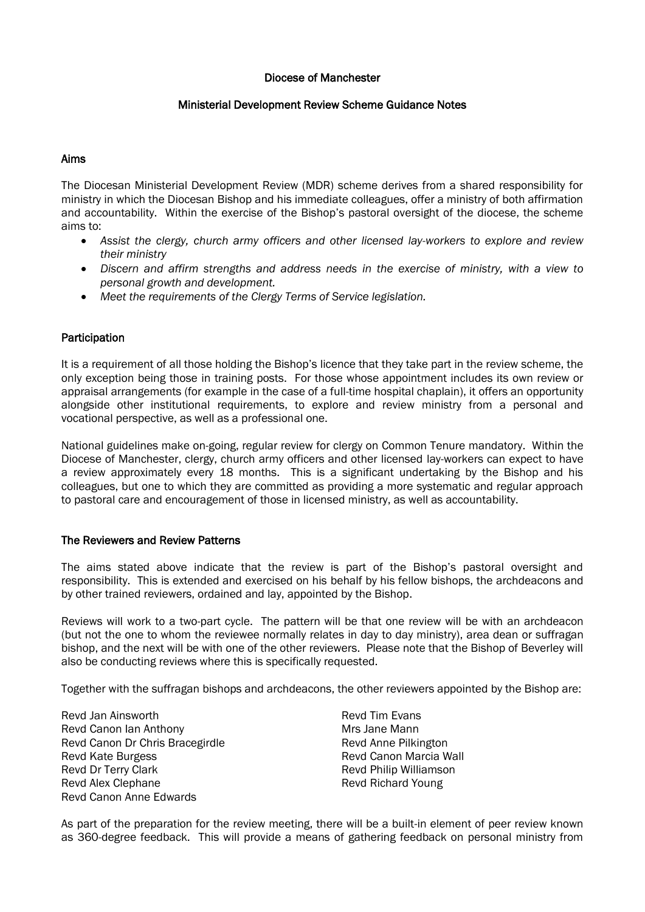#### Diocese of Manchester

# Ministerial Development Review Scheme Guidance Notes

## Aims

The Diocesan Ministerial Development Review (MDR) scheme derives from a shared responsibility for ministry in which the Diocesan Bishop and his immediate colleagues, offer a ministry of both affirmation and accountability. Within the exercise of the Bishop's pastoral oversight of the diocese, the scheme aims to:

- *Assist the clergy, church army officers and other licensed lay-workers to explore and review their ministry*
- *Discern and affirm strengths and address needs in the exercise of ministry, with a view to personal growth and development.*
- *Meet the requirements of the Clergy Terms of Service legislation.*

# Participation

It is a requirement of all those holding the Bishop's licence that they take part in the review scheme, the only exception being those in training posts. For those whose appointment includes its own review or appraisal arrangements (for example in the case of a full-time hospital chaplain), it offers an opportunity alongside other institutional requirements, to explore and review ministry from a personal and vocational perspective, as well as a professional one.

National guidelines make on-going, regular review for clergy on Common Tenure mandatory. Within the Diocese of Manchester, clergy, church army officers and other licensed lay-workers can expect to have a review approximately every 18 months. This is a significant undertaking by the Bishop and his colleagues, but one to which they are committed as providing a more systematic and regular approach to pastoral care and encouragement of those in licensed ministry, as well as accountability.

#### The Reviewers and Review Patterns

The aims stated above indicate that the review is part of the Bishop's pastoral oversight and responsibility. This is extended and exercised on his behalf by his fellow bishops, the archdeacons and by other trained reviewers, ordained and lay, appointed by the Bishop.

Reviews will work to a two-part cycle. The pattern will be that one review will be with an archdeacon (but not the one to whom the reviewee normally relates in day to day ministry), area dean or suffragan bishop, and the next will be with one of the other reviewers. Please note that the Bishop of Beverley will also be conducting reviews where this is specifically requested.

Together with the suffragan bishops and archdeacons, the other reviewers appointed by the Bishop are:

Revd Jan Ainsworth Revd Canon Ian Anthony Revd Canon Dr Chris Bracegirdle Revd Kate Burgess Revd Dr Terry Clark Revd Alex Clephane Revd Canon Anne Edwards

Revd Tim Evans Mrs Jane Mann Revd Anne Pilkington Revd Canon Marcia Wall Revd Philip Williamson Revd Richard Young

As part of the preparation for the review meeting, there will be a built-in element of peer review known as 360-degree feedback. This will provide a means of gathering feedback on personal ministry from